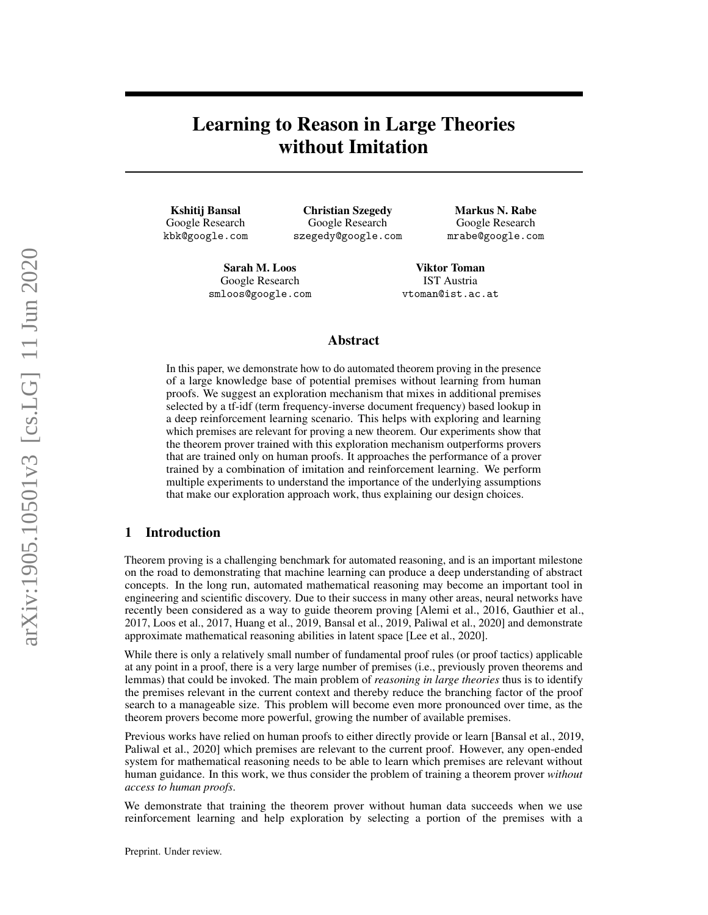# Learning to Reason in Large Theories without Imitation

Kshitij Bansal Google Research kbk@google.com

Christian Szegedy Google Research szegedy@google.com

Markus N. Rabe Google Research mrabe@google.com

Sarah M. Loos Google Research smloos@google.com

Viktor Toman IST Austria vtoman@ist.ac.at

### Abstract

In this paper, we demonstrate how to do automated theorem proving in the presence of a large knowledge base of potential premises without learning from human proofs. We suggest an exploration mechanism that mixes in additional premises selected by a tf-idf (term frequency-inverse document frequency) based lookup in a deep reinforcement learning scenario. This helps with exploring and learning which premises are relevant for proving a new theorem. Our experiments show that the theorem prover trained with this exploration mechanism outperforms provers that are trained only on human proofs. It approaches the performance of a prover trained by a combination of imitation and reinforcement learning. We perform multiple experiments to understand the importance of the underlying assumptions that make our exploration approach work, thus explaining our design choices.

# 1 Introduction

Theorem proving is a challenging benchmark for automated reasoning, and is an important milestone on the road to demonstrating that machine learning can produce a deep understanding of abstract concepts. In the long run, automated mathematical reasoning may become an important tool in engineering and scientific discovery. Due to their success in many other areas, neural networks have recently been considered as a way to guide theorem proving [\[Alemi et al., 2016,](#page-8-0) [Gauthier et al.,](#page-8-1) [2017,](#page-8-1) [Loos et al., 2017,](#page-8-2) [Huang et al., 2019,](#page-8-3) [Bansal et al., 2019,](#page-8-4) [Paliwal et al., 2020\]](#page-8-5) and demonstrate approximate mathematical reasoning abilities in latent space [\[Lee et al., 2020\]](#page-8-6).

While there is only a relatively small number of fundamental proof rules (or proof tactics) applicable at any point in a proof, there is a very large number of premises (i.e., previously proven theorems and lemmas) that could be invoked. The main problem of *reasoning in large theories* thus is to identify the premises relevant in the current context and thereby reduce the branching factor of the proof search to a manageable size. This problem will become even more pronounced over time, as the theorem provers become more powerful, growing the number of available premises.

Previous works have relied on human proofs to either directly provide or learn [\[Bansal et al., 2019,](#page-8-4) [Paliwal et al., 2020\]](#page-8-5) which premises are relevant to the current proof. However, any open-ended system for mathematical reasoning needs to be able to learn which premises are relevant without human guidance. In this work, we thus consider the problem of training a theorem prover *without access to human proofs*.

We demonstrate that training the theorem prover without human data succeeds when we use reinforcement learning and help exploration by selecting a portion of the premises with a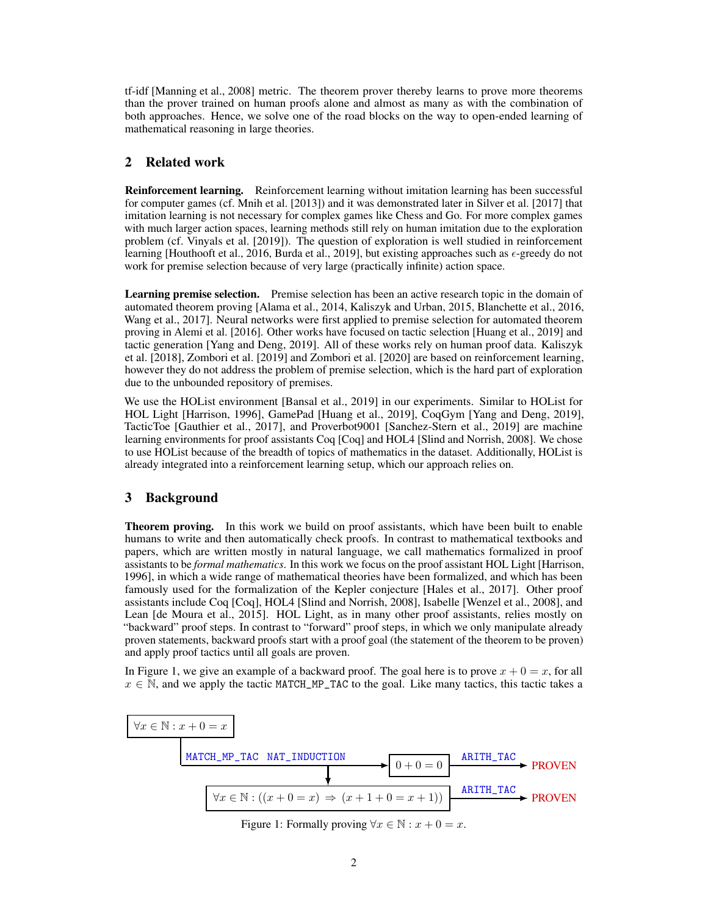tf-idf [\[Manning et al., 2008\]](#page-8-7) metric. The theorem prover thereby learns to prove more theorems than the prover trained on human proofs alone and almost as many as with the combination of both approaches. Hence, we solve one of the road blocks on the way to open-ended learning of mathematical reasoning in large theories.

### <span id="page-1-2"></span>2 Related work

Reinforcement learning. Reinforcement learning without imitation learning has been successful for computer games (cf. [Mnih et al.](#page-8-8) [\[2013\]](#page-8-8)) and it was demonstrated later in [Silver et al.](#page-8-9) [\[2017\]](#page-8-9) that imitation learning is not necessary for complex games like Chess and Go. For more complex games with much larger action spaces, learning methods still rely on human imitation due to the exploration problem (cf. [Vinyals et al.](#page-9-0) [\[2019\]](#page-9-0)). The question of exploration is well studied in reinforcement learning [\[Houthooft et al., 2016,](#page-9-1) [Burda et al., 2019\]](#page-9-2), but existing approaches such as  $\epsilon$ -greedy do not work for premise selection because of very large (practically infinite) action space.

Learning premise selection. Premise selection has been an active research topic in the domain of automated theorem proving [\[Alama et al., 2014,](#page-9-3) [Kaliszyk and Urban, 2015,](#page-9-4) [Blanchette et al., 2016,](#page-9-5) [Wang et al., 2017\]](#page-9-6). Neural networks were first applied to premise selection for automated theorem proving in [Alemi et al.](#page-8-0) [\[2016\]](#page-8-0). Other works have focused on tactic selection [\[Huang et al., 2019\]](#page-8-3) and tactic generation [\[Yang and Deng, 2019\]](#page-9-7). All of these works rely on human proof data. [Kaliszyk](#page-9-8) [et al.](#page-9-8) [\[2018\]](#page-9-8), [Zombori et al.](#page-9-9) [\[2019\]](#page-9-9) and [Zombori et al.](#page-9-10) [\[2020\]](#page-9-10) are based on reinforcement learning, however they do not address the problem of premise selection, which is the hard part of exploration due to the unbounded repository of premises.

We use the HOList environment [\[Bansal et al., 2019\]](#page-8-4) in our experiments. Similar to HOList for HOL Light [\[Harrison, 1996\]](#page-9-11), GamePad [\[Huang et al., 2019\]](#page-8-3), CoqGym [\[Yang and Deng, 2019\]](#page-9-7), TacticToe [\[Gauthier et al., 2017\]](#page-8-1), and Proverbot9001 [\[Sanchez-Stern et al., 2019\]](#page-10-0) are machine learning environments for proof assistants Coq [\[Coq\]](#page-10-1) and HOL4 [\[Slind and Norrish, 2008\]](#page-10-2). We chose to use HOList because of the breadth of topics of mathematics in the dataset. Additionally, HOList is already integrated into a reinforcement learning setup, which our approach relies on.

### <span id="page-1-1"></span>3 Background

Theorem proving. In this work we build on proof assistants, which have been built to enable humans to write and then automatically check proofs. In contrast to mathematical textbooks and papers, which are written mostly in natural language, we call mathematics formalized in proof assistants to be *formal mathematics*. In this work we focus on the proof assistant HOL Light [\[Harrison,](#page-9-11) [1996\]](#page-9-11), in which a wide range of mathematical theories have been formalized, and which has been famously used for the formalization of the Kepler conjecture [\[Hales et al., 2017\]](#page-10-3). Other proof assistants include Coq [\[Coq\]](#page-10-1), HOL4 [\[Slind and Norrish, 2008\]](#page-10-2), Isabelle [\[Wenzel et al., 2008\]](#page-10-4), and Lean [\[de Moura et al., 2015\]](#page-10-5). HOL Light, as in many other proof assistants, relies mostly on "backward" proof steps. In contrast to "forward" proof steps, in which we only manipulate already proven statements, backward proofs start with a proof goal (the statement of the theorem to be proven) and apply proof tactics until all goals are proven.

In Figure [1,](#page-1-0) we give an example of a backward proof. The goal here is to prove  $x + 0 = x$ , for all  $x \in \mathbb{N}$ , and we apply the tactic MATCH\_MP\_TAC to the goal. Like many tactics, this tactic takes a

<span id="page-1-0"></span>

Figure 1: Formally proving  $\forall x \in \mathbb{N} : x + 0 = x$ .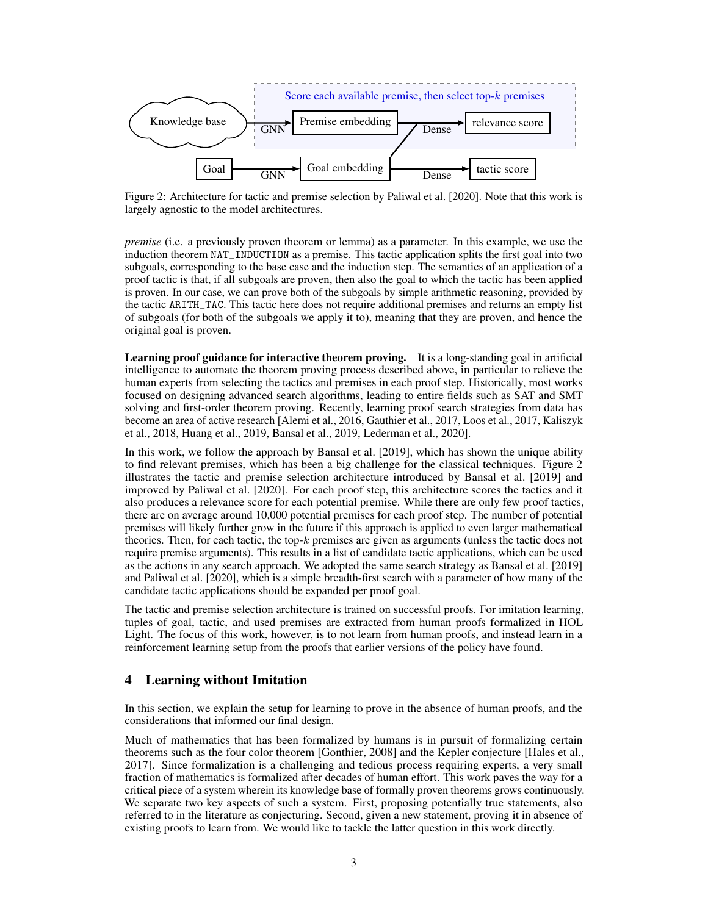<span id="page-2-0"></span>

Figure 2: Architecture for tactic and premise selection by [Paliwal et al.](#page-8-5) [\[2020\]](#page-8-5). Note that this work is largely agnostic to the model architectures.

*premise* (i.e. a previously proven theorem or lemma) as a parameter. In this example, we use the induction theorem NAT\_INDUCTION as a premise. This tactic application splits the first goal into two subgoals, corresponding to the base case and the induction step. The semantics of an application of a proof tactic is that, if all subgoals are proven, then also the goal to which the tactic has been applied is proven. In our case, we can prove both of the subgoals by simple arithmetic reasoning, provided by the tactic ARITH\_TAC. This tactic here does not require additional premises and returns an empty list of subgoals (for both of the subgoals we apply it to), meaning that they are proven, and hence the original goal is proven.

Learning proof guidance for interactive theorem proving. It is a long-standing goal in artificial intelligence to automate the theorem proving process described above, in particular to relieve the human experts from selecting the tactics and premises in each proof step. Historically, most works focused on designing advanced search algorithms, leading to entire fields such as SAT and SMT solving and first-order theorem proving. Recently, learning proof search strategies from data has become an area of active research [\[Alemi et al., 2016,](#page-8-0) [Gauthier et al., 2017,](#page-8-1) [Loos et al., 2017,](#page-8-2) [Kaliszyk](#page-9-8) [et al., 2018,](#page-9-8) [Huang et al., 2019,](#page-8-3) [Bansal et al., 2019,](#page-8-4) [Lederman et al., 2020\]](#page-10-6).

In this work, we follow the approach by [Bansal et al.](#page-8-4) [\[2019\]](#page-8-4), which has shown the unique ability to find relevant premises, which has been a big challenge for the classical techniques. Figure [2](#page-2-0) illustrates the tactic and premise selection architecture introduced by [Bansal et al.](#page-8-4) [\[2019\]](#page-8-4) and improved by [Paliwal et al.](#page-8-5) [\[2020\]](#page-8-5). For each proof step, this architecture scores the tactics and it also produces a relevance score for each potential premise. While there are only few proof tactics, there are on average around 10,000 potential premises for each proof step. The number of potential premises will likely further grow in the future if this approach is applied to even larger mathematical theories. Then, for each tactic, the top- $k$  premises are given as arguments (unless the tactic does not require premise arguments). This results in a list of candidate tactic applications, which can be used as the actions in any search approach. We adopted the same search strategy as [Bansal et al.](#page-8-4) [\[2019\]](#page-8-4) and [Paliwal et al.](#page-8-5) [\[2020\]](#page-8-5), which is a simple breadth-first search with a parameter of how many of the candidate tactic applications should be expanded per proof goal.

The tactic and premise selection architecture is trained on successful proofs. For imitation learning, tuples of goal, tactic, and used premises are extracted from human proofs formalized in HOL Light. The focus of this work, however, is to not learn from human proofs, and instead learn in a reinforcement learning setup from the proofs that earlier versions of the policy have found.

# <span id="page-2-1"></span>4 Learning without Imitation

In this section, we explain the setup for learning to prove in the absence of human proofs, and the considerations that informed our final design.

Much of mathematics that has been formalized by humans is in pursuit of formalizing certain theorems such as the four color theorem [\[Gonthier, 2008\]](#page-10-7) and the Kepler conjecture [\[Hales et al.,](#page-10-3) [2017\]](#page-10-3). Since formalization is a challenging and tedious process requiring experts, a very small fraction of mathematics is formalized after decades of human effort. This work paves the way for a critical piece of a system wherein its knowledge base of formally proven theorems grows continuously. We separate two key aspects of such a system. First, proposing potentially true statements, also referred to in the literature as conjecturing. Second, given a new statement, proving it in absence of existing proofs to learn from. We would like to tackle the latter question in this work directly.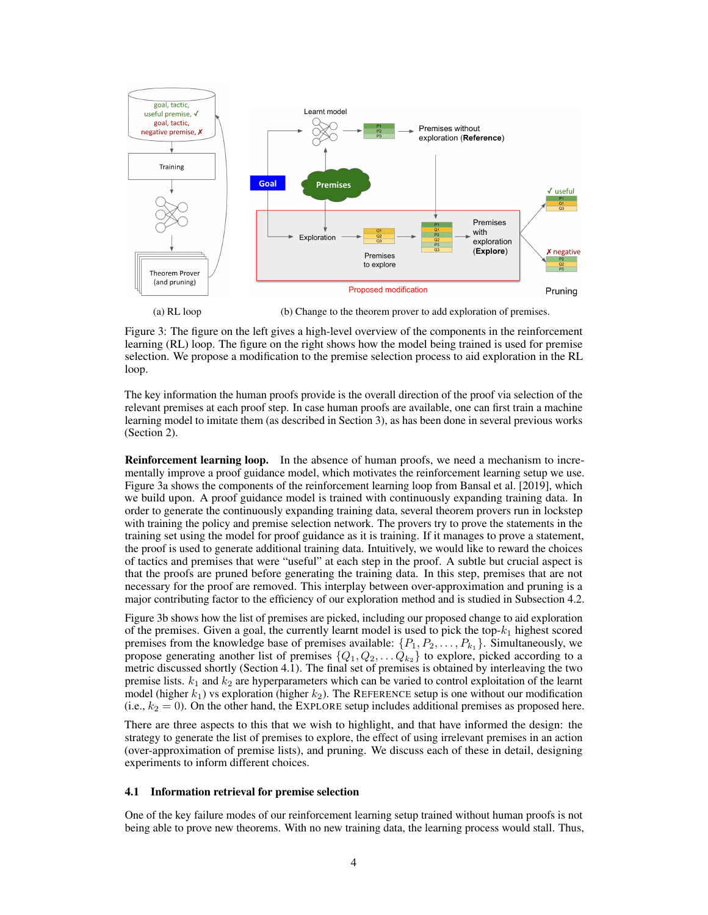<span id="page-3-0"></span>

(a) RL loop (b) Change to the theorem prover to add exploration of premises.

Figure 3: The figure on the left gives a high-level overview of the components in the reinforcement learning (RL) loop. The figure on the right shows how the model being trained is used for premise selection. We propose a modification to the premise selection process to aid exploration in the RL loop.

The key information the human proofs provide is the overall direction of the proof via selection of the relevant premises at each proof step. In case human proofs are available, one can first train a machine learning model to imitate them (as described in Section [3\)](#page-1-1), as has been done in several previous works (Section [2\)](#page-1-2).

Reinforcement learning loop. In the absence of human proofs, we need a mechanism to incrementally improve a proof guidance model, which motivates the reinforcement learning setup we use. Figure [3a](#page-3-0) shows the components of the reinforcement learning loop from [Bansal et al.](#page-8-4) [\[2019\]](#page-8-4), which we build upon. A proof guidance model is trained with continuously expanding training data. In order to generate the continuously expanding training data, several theorem provers run in lockstep with training the policy and premise selection network. The provers try to prove the statements in the training set using the model for proof guidance as it is training. If it manages to prove a statement, the proof is used to generate additional training data. Intuitively, we would like to reward the choices of tactics and premises that were "useful" at each step in the proof. A subtle but crucial aspect is that the proofs are pruned before generating the training data. In this step, premises that are not necessary for the proof are removed. This interplay between over-approximation and pruning is a major contributing factor to the efficiency of our exploration method and is studied in Subsection [4.2.](#page-4-0)

Figure [3b](#page-3-0) shows how the list of premises are picked, including our proposed change to aid exploration of the premises. Given a goal, the currently learnt model is used to pick the top- $k_1$  highest scored premises from the knowledge base of premises available:  $\{P_1, P_2, \ldots, P_{k_1}\}$ . Simultaneously, we propose generating another list of premises  $\{Q_1, Q_2, \ldots Q_{k_2}\}\$  to explore, picked according to a metric discussed shortly (Section [4.1\)](#page-3-1). The final set of premises is obtained by interleaving the two premise lists.  $k_1$  and  $k_2$  are hyperparameters which can be varied to control exploitation of the learnt model (higher  $k_1$ ) vs exploration (higher  $k_2$ ). The REFERENCE setup is one without our modification (i.e.,  $k_2 = 0$ ). On the other hand, the EXPLORE setup includes additional premises as proposed here.

There are three aspects to this that we wish to highlight, and that have informed the design: the strategy to generate the list of premises to explore, the effect of using irrelevant premises in an action (over-approximation of premise lists), and pruning. We discuss each of these in detail, designing experiments to inform different choices.

#### <span id="page-3-1"></span>4.1 Information retrieval for premise selection

One of the key failure modes of our reinforcement learning setup trained without human proofs is not being able to prove new theorems. With no new training data, the learning process would stall. Thus,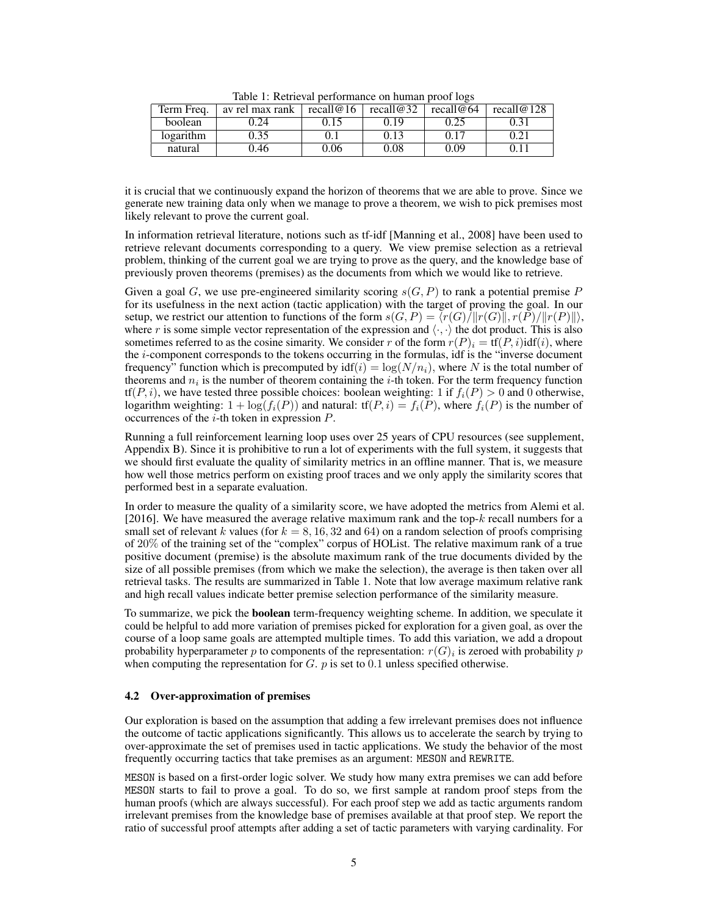<span id="page-4-1"></span>

| Term Freq. | av rel max rank | recall $@16$ | recall $@32$ | recall@64 | recall $@128$ |
|------------|-----------------|--------------|--------------|-----------|---------------|
| boolean    | 0.24            | 0.15         | 0.19         | 0.25      | 0.31          |
| logarithm  | 0.35            |              | 0.13         | 0.17      | 0.21          |
| natural    | 0.46            | 0.06         | 0.08         | 0.09      | 0.11          |

Table 1: Retrieval performance on human proof logs

it is crucial that we continuously expand the horizon of theorems that we are able to prove. Since we generate new training data only when we manage to prove a theorem, we wish to pick premises most likely relevant to prove the current goal.

In information retrieval literature, notions such as tf-idf [\[Manning et al., 2008\]](#page-8-7) have been used to retrieve relevant documents corresponding to a query. We view premise selection as a retrieval problem, thinking of the current goal we are trying to prove as the query, and the knowledge base of previously proven theorems (premises) as the documents from which we would like to retrieve.

Given a goal G, we use pre-engineered similarity scoring  $s(G, P)$  to rank a potential premise P for its usefulness in the next action (tactic application) with the target of proving the goal. In our setup, we restrict our attention to functions of the form  $s(G, P) = \langle r(G)/\|r(G)\|, r(P)/\|r(P)\| \rangle$ , where r is some simple vector representation of the expression and  $\langle \cdot, \cdot \rangle$  the dot product. This is also sometimes referred to as the cosine simarity. We consider r of the form  $r(P)_i = \text{tf}(P_i)$  idf(i), where the i-component corresponds to the tokens occurring in the formulas, idf is the "inverse document frequency" function which is precomputed by  $\text{idf}(i) = \log(N/n_i)$ , where N is the total number of theorems and  $n_i$  is the number of theorem containing the *i*-th token. For the term frequency function  $tf(P, i)$ , we have tested three possible choices: boolean weighting: 1 if  $f_i(P) > 0$  and 0 otherwise, logarithm weighting:  $1 + \log(f_i(P))$  and natural:  $\text{tf}(P, i) = f_i(P)$ , where  $f_i(P)$  is the number of occurrences of the  $i$ -th token in expression  $P$ .

Running a full reinforcement learning loop uses over 25 years of CPU resources (see supplement, Appendix [B\)](#page-12-0). Since it is prohibitive to run a lot of experiments with the full system, it suggests that we should first evaluate the quality of similarity metrics in an offline manner. That is, we measure how well those metrics perform on existing proof traces and we only apply the similarity scores that performed best in a separate evaluation.

In order to measure the quality of a similarity score, we have adopted the metrics from [Alemi et al.](#page-8-0) [\[2016\]](#page-8-0). We have measured the average relative maximum rank and the top- $k$  recall numbers for a small set of relevant k values (for  $k = 8, 16, 32$  and 64) on a random selection of proofs comprising of 20% of the training set of the "complex" corpus of HOList. The relative maximum rank of a true positive document (premise) is the absolute maximum rank of the true documents divided by the size of all possible premises (from which we make the selection), the average is then taken over all retrieval tasks. The results are summarized in Table [1.](#page-4-1) Note that low average maximum relative rank and high recall values indicate better premise selection performance of the similarity measure.

To summarize, we pick the boolean term-frequency weighting scheme. In addition, we speculate it could be helpful to add more variation of premises picked for exploration for a given goal, as over the course of a loop same goals are attempted multiple times. To add this variation, we add a dropout probability hyperparameter p to components of the representation:  $r(G)_i$  is zeroed with probability  $p$ when computing the representation for  $G$ .  $p$  is set to 0.1 unless specified otherwise.

### <span id="page-4-0"></span>4.2 Over-approximation of premises

Our exploration is based on the assumption that adding a few irrelevant premises does not influence the outcome of tactic applications significantly. This allows us to accelerate the search by trying to over-approximate the set of premises used in tactic applications. We study the behavior of the most frequently occurring tactics that take premises as an argument: MESON and REWRITE.

MESON is based on a first-order logic solver. We study how many extra premises we can add before MESON starts to fail to prove a goal. To do so, we first sample at random proof steps from the human proofs (which are always successful). For each proof step we add as tactic arguments random irrelevant premises from the knowledge base of premises available at that proof step. We report the ratio of successful proof attempts after adding a set of tactic parameters with varying cardinality. For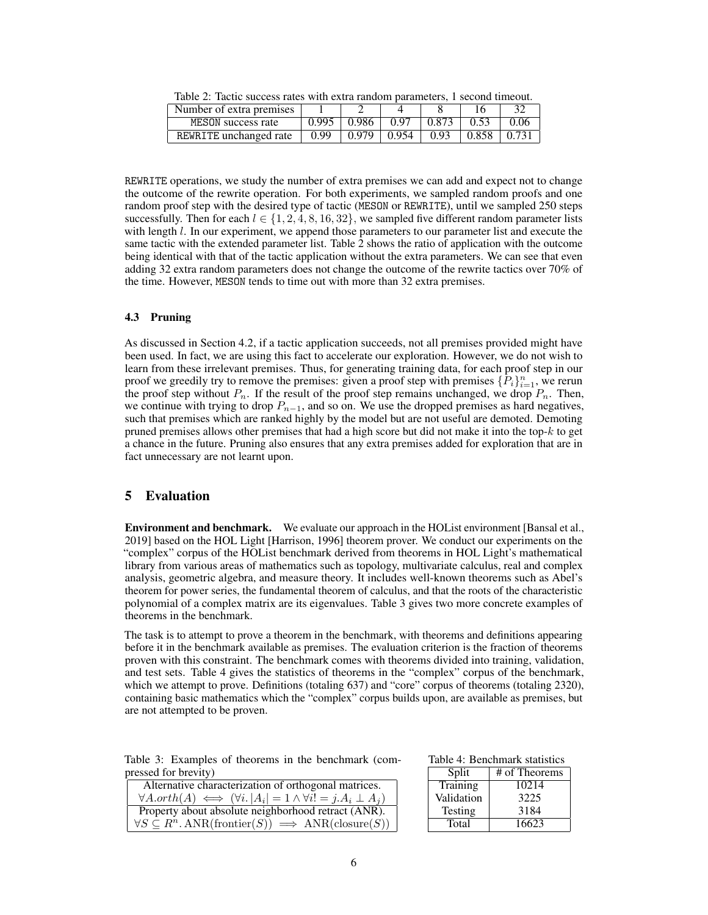| Tuoto 2. Tuotto suojossa Tutos with extra fahaoin parameters, 1 second timosat. |       |          |                   |       |       |       |  |
|---------------------------------------------------------------------------------|-------|----------|-------------------|-------|-------|-------|--|
| Number of extra premises                                                        |       |          |                   |       |       |       |  |
| MESON success rate                                                              | 0.995 | $+0.986$ | 0.97              | 0.873 | 0.53  | 0.06  |  |
| REWRITE unchanged rate                                                          | 0.99  |          | $0.979 \pm 0.954$ | 0.93  | 0.858 | 0.731 |  |

<span id="page-5-0"></span>Table 2: Tactic success rates with extra random parameters, 1 second timeout.

REWRITE operations, we study the number of extra premises we can add and expect not to change the outcome of the rewrite operation. For both experiments, we sampled random proofs and one random proof step with the desired type of tactic (MESON or REWRITE), until we sampled 250 steps successfully. Then for each  $l \in \{1, 2, 4, 8, 16, 32\}$ , we sampled five different random parameter lists with length  $l$ . In our experiment, we append those parameters to our parameter list and execute the same tactic with the extended parameter list. Table [2](#page-5-0) shows the ratio of application with the outcome being identical with that of the tactic application without the extra parameters. We can see that even adding 32 extra random parameters does not change the outcome of the rewrite tactics over 70% of the time. However, MESON tends to time out with more than 32 extra premises.

#### 4.3 Pruning

As discussed in Section [4.2,](#page-4-0) if a tactic application succeeds, not all premises provided might have been used. In fact, we are using this fact to accelerate our exploration. However, we do not wish to learn from these irrelevant premises. Thus, for generating training data, for each proof step in our proof we greedily try to remove the premises: given a proof step with premises  $\{P_i\}_{i=1}^n$ , we rerun the proof step without  $P_n$ . If the result of the proof step remains unchanged, we drop  $P_n$ . Then, we continue with trying to drop  $P_{n-1}$ , and so on. We use the dropped premises as hard negatives, such that premises which are ranked highly by the model but are not useful are demoted. Demoting pruned premises allows other premises that had a high score but did not make it into the top-k to get a chance in the future. Pruning also ensures that any extra premises added for exploration that are in fact unnecessary are not learnt upon.

# <span id="page-5-2"></span>5 Evaluation

**Environment and benchmark.** We evaluate our approach in the HOList environment [\[Bansal et al.,](#page-8-4) [2019\]](#page-8-4) based on the HOL Light [\[Harrison, 1996\]](#page-9-11) theorem prover. We conduct our experiments on the "complex" corpus of the HOList benchmark derived from theorems in HOL Light's mathematical library from various areas of mathematics such as topology, multivariate calculus, real and complex analysis, geometric algebra, and measure theory. It includes well-known theorems such as Abel's theorem for power series, the fundamental theorem of calculus, and that the roots of the characteristic polynomial of a complex matrix are its eigenvalues. Table [3](#page-5-1) gives two more concrete examples of theorems in the benchmark.

The task is to attempt to prove a theorem in the benchmark, with theorems and definitions appearing before it in the benchmark available as premises. The evaluation criterion is the fraction of theorems proven with this constraint. The benchmark comes with theorems divided into training, validation, and test sets. Table [4](#page-5-1) gives the statistics of theorems in the "complex" corpus of the benchmark, which we attempt to prove. Definitions (totaling 637) and "core" corpus of theorems (totaling 2320), containing basic mathematics which the "complex" corpus builds upon, are available as premises, but are not attempted to be proven.

<span id="page-5-1"></span>

|  |                      |  |  | Table 3: Examples of theorems in the benchmark (com- |  |
|--|----------------------|--|--|------------------------------------------------------|--|
|  | pressed for brevity) |  |  |                                                      |  |

| ressed for brevity)                                                                | Split      | # of Theorems |
|------------------------------------------------------------------------------------|------------|---------------|
| Alternative characterization of orthogonal matrices.                               | Training   | 10214         |
| $\forall A.orth(A) \iff (\forall i.  A_i  = 1 \land \forall i! = j.A_i \perp A_i)$ | Validation | 3225          |
| Property about absolute neighborhood retract (ANR).                                | Testing    | 3184          |
| $\forall S \subseteq R^n$ . ANR(frontier(S)) $\implies$ ANR(closure(S))            | Total      | 16623         |

Table 4: Benchmark statistics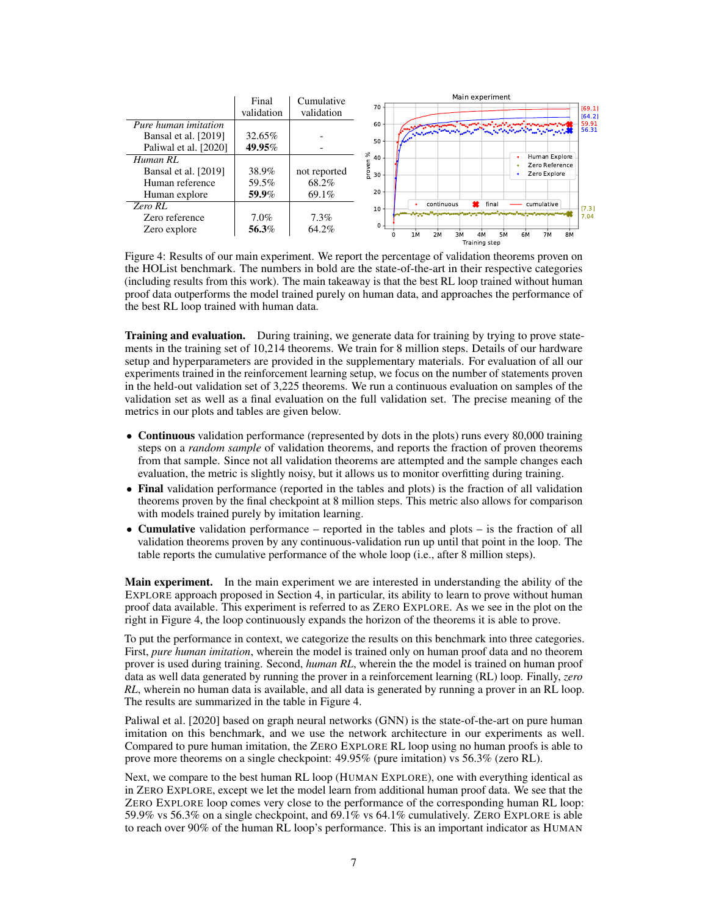<span id="page-6-0"></span>

|                       | Final      | Cumulative   | Main experiment                                                 |  |  |  |  |
|-----------------------|------------|--------------|-----------------------------------------------------------------|--|--|--|--|
|                       | validation | validation   | $70 -$<br>[69.1]<br>[64.2]                                      |  |  |  |  |
| Pure human imitation  |            |              | 59.91<br>$60 -$<br>56.31                                        |  |  |  |  |
| Bansal et al. [2019]  | 32.65%     |              | Captain and an international<br>50                              |  |  |  |  |
| Paliwal et al. [2020] | 49.95%     |              |                                                                 |  |  |  |  |
| Human RL              |            |              | వ్<br>Human Explore<br>$40 -$<br>Zero Reference                 |  |  |  |  |
| Bansal et al. [2019]  | 38.9%      | not reported | proven<br>Zero Explore<br>30                                    |  |  |  |  |
| Human reference       | 59.5%      | 68.2%        |                                                                 |  |  |  |  |
| Human explore         | 59.9%      | 69.1%        | 20                                                              |  |  |  |  |
| Zero RL               |            |              | final<br>continuous<br>cumulative<br>[7.3]<br>$10 -$            |  |  |  |  |
| Zero reference        | $7.0\%$    | 7.3%         | 7.04                                                            |  |  |  |  |
| Zero explore          | 56.3%      | 64.2%        | $\Omega$ -<br>3M<br>5M<br>7M<br>8M<br>1M<br>2M<br>4M<br>6M<br>o |  |  |  |  |
|                       |            |              | Training step                                                   |  |  |  |  |

Figure 4: Results of our main experiment. We report the percentage of validation theorems proven on the HOList benchmark. The numbers in bold are the state-of-the-art in their respective categories (including results from this work). The main takeaway is that the best RL loop trained without human proof data outperforms the model trained purely on human data, and approaches the performance of the best RL loop trained with human data.

Training and evaluation. During training, we generate data for training by trying to prove statements in the training set of 10,214 theorems. We train for 8 million steps. Details of our hardware setup and hyperparameters are provided in the supplementary materials. For evaluation of all our experiments trained in the reinforcement learning setup, we focus on the number of statements proven in the held-out validation set of 3,225 theorems. We run a continuous evaluation on samples of the validation set as well as a final evaluation on the full validation set. The precise meaning of the metrics in our plots and tables are given below.

- Continuous validation performance (represented by dots in the plots) runs every 80,000 training steps on a *random sample* of validation theorems, and reports the fraction of proven theorems from that sample. Since not all validation theorems are attempted and the sample changes each evaluation, the metric is slightly noisy, but it allows us to monitor overfitting during training.
- Final validation performance (reported in the tables and plots) is the fraction of all validation theorems proven by the final checkpoint at 8 million steps. This metric also allows for comparison with models trained purely by imitation learning.
- Cumulative validation performance reported in the tables and plots is the fraction of all validation theorems proven by any continuous-validation run up until that point in the loop. The table reports the cumulative performance of the whole loop (i.e., after 8 million steps).

Main experiment. In the main experiment we are interested in understanding the ability of the EXPLORE approach proposed in Section [4,](#page-2-1) in particular, its ability to learn to prove without human proof data available. This experiment is referred to as ZERO EXPLORE. As we see in the plot on the right in Figure [4,](#page-6-0) the loop continuously expands the horizon of the theorems it is able to prove.

To put the performance in context, we categorize the results on this benchmark into three categories. First, *pure human imitation*, wherein the model is trained only on human proof data and no theorem prover is used during training. Second, *human RL*, wherein the the model is trained on human proof data as well data generated by running the prover in a reinforcement learning (RL) loop. Finally, *zero RL*, wherein no human data is available, and all data is generated by running a prover in an RL loop. The results are summarized in the table in Figure [4.](#page-6-0)

[Paliwal et al.](#page-8-5) [\[2020\]](#page-8-5) based on graph neural networks (GNN) is the state-of-the-art on pure human imitation on this benchmark, and we use the network architecture in our experiments as well. Compared to pure human imitation, the ZERO EXPLORE RL loop using no human proofs is able to prove more theorems on a single checkpoint: 49.95% (pure imitation) vs 56.3% (zero RL).

Next, we compare to the best human RL loop (HUMAN EXPLORE), one with everything identical as in ZERO EXPLORE, except we let the model learn from additional human proof data. We see that the ZERO EXPLORE loop comes very close to the performance of the corresponding human RL loop: 59.9% vs 56.3% on a single checkpoint, and 69.1% vs 64.1% cumulatively. ZERO EXPLORE is able to reach over 90% of the human RL loop's performance. This is an important indicator as HUMAN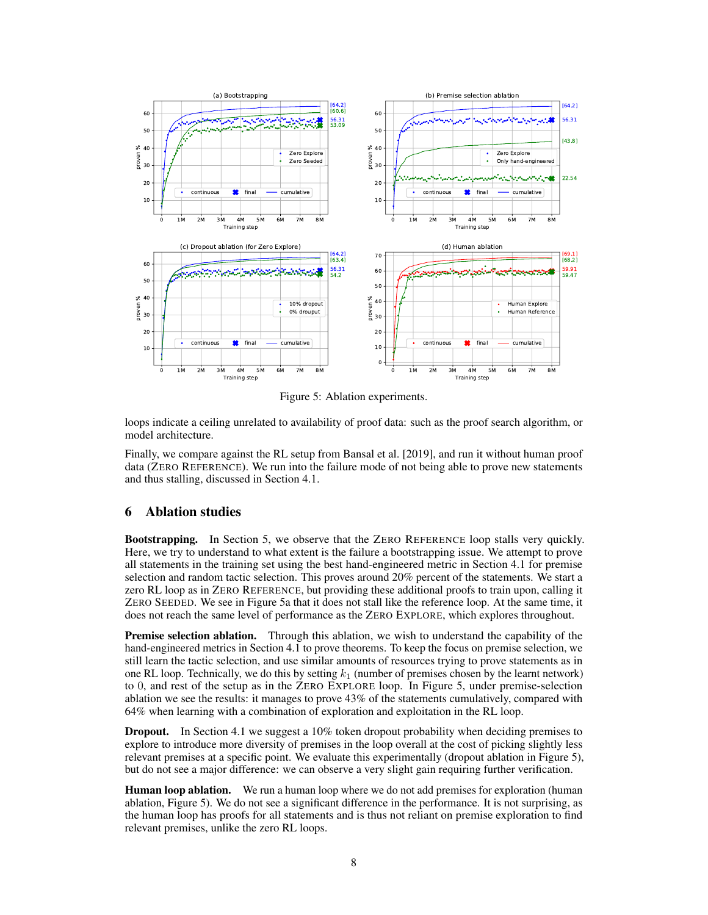<span id="page-7-0"></span>

Figure 5: Ablation experiments.

loops indicate a ceiling unrelated to availability of proof data: such as the proof search algorithm, or model architecture.

Finally, we compare against the RL setup from [Bansal et al.](#page-8-4) [\[2019\]](#page-8-4), and run it without human proof data (ZERO REFERENCE). We run into the failure mode of not being able to prove new statements and thus stalling, discussed in Section [4.1.](#page-3-1)

# 6 Ablation studies

Bootstrapping. In Section [5,](#page-5-2) we observe that the ZERO REFERENCE loop stalls very quickly. Here, we try to understand to what extent is the failure a bootstrapping issue. We attempt to prove all statements in the training set using the best hand-engineered metric in Section [4.1](#page-3-1) for premise selection and random tactic selection. This proves around 20% percent of the statements. We start a zero RL loop as in ZERO REFERENCE, but providing these additional proofs to train upon, calling it ZERO SEEDED. We see in Figure [5a](#page-7-0) that it does not stall like the reference loop. At the same time, it does not reach the same level of performance as the ZERO EXPLORE, which explores throughout.

Premise selection ablation. Through this ablation, we wish to understand the capability of the hand-engineered metrics in Section [4.1](#page-3-1) to prove theorems. To keep the focus on premise selection, we still learn the tactic selection, and use similar amounts of resources trying to prove statements as in one RL loop. Technically, we do this by setting  $k_1$  (number of premises chosen by the learnt network) to 0, and rest of the setup as in the ZERO EXPLORE loop. In Figure [5,](#page-7-0) under premise-selection ablation we see the results: it manages to prove 43% of the statements cumulatively, compared with 64% when learning with a combination of exploration and exploitation in the RL loop.

Dropout. In Section [4.1](#page-3-1) we suggest a 10% token dropout probability when deciding premises to explore to introduce more diversity of premises in the loop overall at the cost of picking slightly less relevant premises at a specific point. We evaluate this experimentally (dropout ablation in Figure [5\)](#page-7-0), but do not see a major difference: we can observe a very slight gain requiring further verification.

Human loop ablation. We run a human loop where we do not add premises for exploration (human ablation, Figure [5\)](#page-7-0). We do not see a significant difference in the performance. It is not surprising, as the human loop has proofs for all statements and is thus not reliant on premise exploration to find relevant premises, unlike the zero RL loops.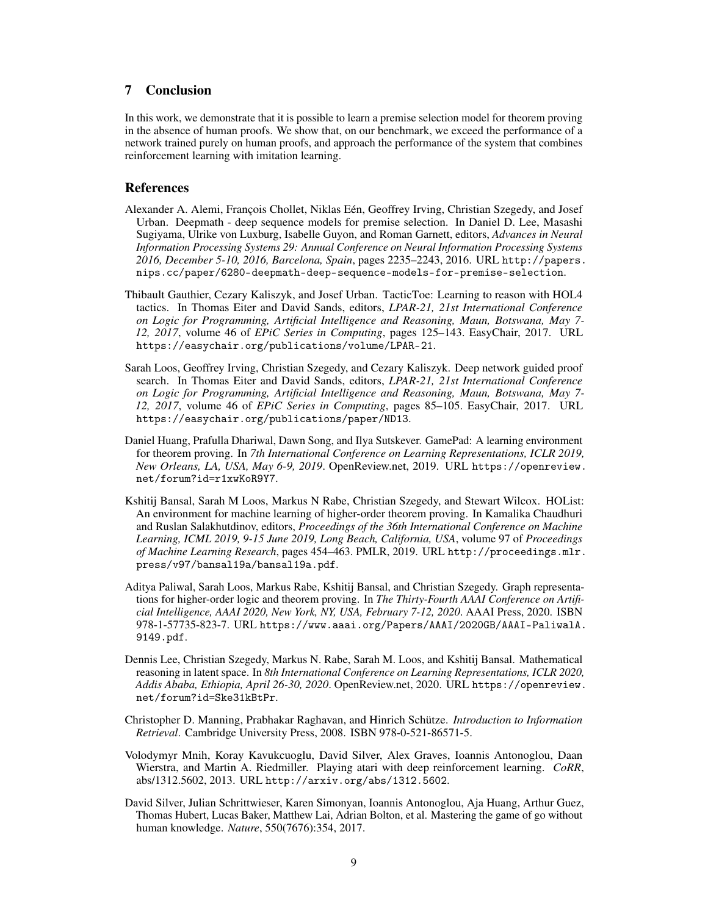# 7 Conclusion

In this work, we demonstrate that it is possible to learn a premise selection model for theorem proving in the absence of human proofs. We show that, on our benchmark, we exceed the performance of a network trained purely on human proofs, and approach the performance of the system that combines reinforcement learning with imitation learning.

### References

- <span id="page-8-0"></span>Alexander A. Alemi, François Chollet, Niklas Eén, Geoffrey Irving, Christian Szegedy, and Josef Urban. Deepmath - deep sequence models for premise selection. In Daniel D. Lee, Masashi Sugiyama, Ulrike von Luxburg, Isabelle Guyon, and Roman Garnett, editors, *Advances in Neural Information Processing Systems 29: Annual Conference on Neural Information Processing Systems 2016, December 5-10, 2016, Barcelona, Spain*, pages 2235–2243, 2016. URL [http://papers.](http://papers.nips.cc/paper/6280-deepmath-deep-sequence-models-for-premise-selection) [nips.cc/paper/6280-deepmath-deep-sequence-models-for-premise-selection](http://papers.nips.cc/paper/6280-deepmath-deep-sequence-models-for-premise-selection).
- <span id="page-8-1"></span>Thibault Gauthier, Cezary Kaliszyk, and Josef Urban. TacticToe: Learning to reason with HOL4 tactics. In Thomas Eiter and David Sands, editors, *LPAR-21, 21st International Conference on Logic for Programming, Artificial Intelligence and Reasoning, Maun, Botswana, May 7- 12, 2017*, volume 46 of *EPiC Series in Computing*, pages 125–143. EasyChair, 2017. URL <https://easychair.org/publications/volume/LPAR-21>.
- <span id="page-8-2"></span>Sarah Loos, Geoffrey Irving, Christian Szegedy, and Cezary Kaliszyk. Deep network guided proof search. In Thomas Eiter and David Sands, editors, *LPAR-21, 21st International Conference on Logic for Programming, Artificial Intelligence and Reasoning, Maun, Botswana, May 7- 12, 2017*, volume 46 of *EPiC Series in Computing*, pages 85–105. EasyChair, 2017. URL <https://easychair.org/publications/paper/ND13>.
- <span id="page-8-3"></span>Daniel Huang, Prafulla Dhariwal, Dawn Song, and Ilya Sutskever. GamePad: A learning environment for theorem proving. In *7th International Conference on Learning Representations, ICLR 2019, New Orleans, LA, USA, May 6-9, 2019*. OpenReview.net, 2019. URL [https://openreview.](https://openreview.net/forum?id=r1xwKoR9Y7) [net/forum?id=r1xwKoR9Y7](https://openreview.net/forum?id=r1xwKoR9Y7).
- <span id="page-8-4"></span>Kshitij Bansal, Sarah M Loos, Markus N Rabe, Christian Szegedy, and Stewart Wilcox. HOList: An environment for machine learning of higher-order theorem proving. In Kamalika Chaudhuri and Ruslan Salakhutdinov, editors, *Proceedings of the 36th International Conference on Machine Learning, ICML 2019, 9-15 June 2019, Long Beach, California, USA*, volume 97 of *Proceedings of Machine Learning Research*, pages 454–463. PMLR, 2019. URL [http://proceedings.mlr.](http://proceedings.mlr.press/v97/bansal19a/bansal19a.pdf) [press/v97/bansal19a/bansal19a.pdf](http://proceedings.mlr.press/v97/bansal19a/bansal19a.pdf).
- <span id="page-8-5"></span>Aditya Paliwal, Sarah Loos, Markus Rabe, Kshitij Bansal, and Christian Szegedy. Graph representations for higher-order logic and theorem proving. In *The Thirty-Fourth AAAI Conference on Artificial Intelligence, AAAI 2020, New York, NY, USA, February 7-12, 2020*. AAAI Press, 2020. ISBN 978-1-57735-823-7. URL [https://www.aaai.org/Papers/AAAI/2020GB/AAAI-PaliwalA.](https://www.aaai.org/Papers/AAAI/2020GB/AAAI-PaliwalA.9149.pdf) [9149.pdf](https://www.aaai.org/Papers/AAAI/2020GB/AAAI-PaliwalA.9149.pdf).
- <span id="page-8-6"></span>Dennis Lee, Christian Szegedy, Markus N. Rabe, Sarah M. Loos, and Kshitij Bansal. Mathematical reasoning in latent space. In *8th International Conference on Learning Representations, ICLR 2020, Addis Ababa, Ethiopia, April 26-30, 2020*. OpenReview.net, 2020. URL [https://openreview.](https://openreview.net/forum?id=Ske31kBtPr) [net/forum?id=Ske31kBtPr](https://openreview.net/forum?id=Ske31kBtPr).
- <span id="page-8-7"></span>Christopher D. Manning, Prabhakar Raghavan, and Hinrich Schütze. *Introduction to Information Retrieval*. Cambridge University Press, 2008. ISBN 978-0-521-86571-5.
- <span id="page-8-8"></span>Volodymyr Mnih, Koray Kavukcuoglu, David Silver, Alex Graves, Ioannis Antonoglou, Daan Wierstra, and Martin A. Riedmiller. Playing atari with deep reinforcement learning. *CoRR*, abs/1312.5602, 2013. URL <http://arxiv.org/abs/1312.5602>.
- <span id="page-8-9"></span>David Silver, Julian Schrittwieser, Karen Simonyan, Ioannis Antonoglou, Aja Huang, Arthur Guez, Thomas Hubert, Lucas Baker, Matthew Lai, Adrian Bolton, et al. Mastering the game of go without human knowledge. *Nature*, 550(7676):354, 2017.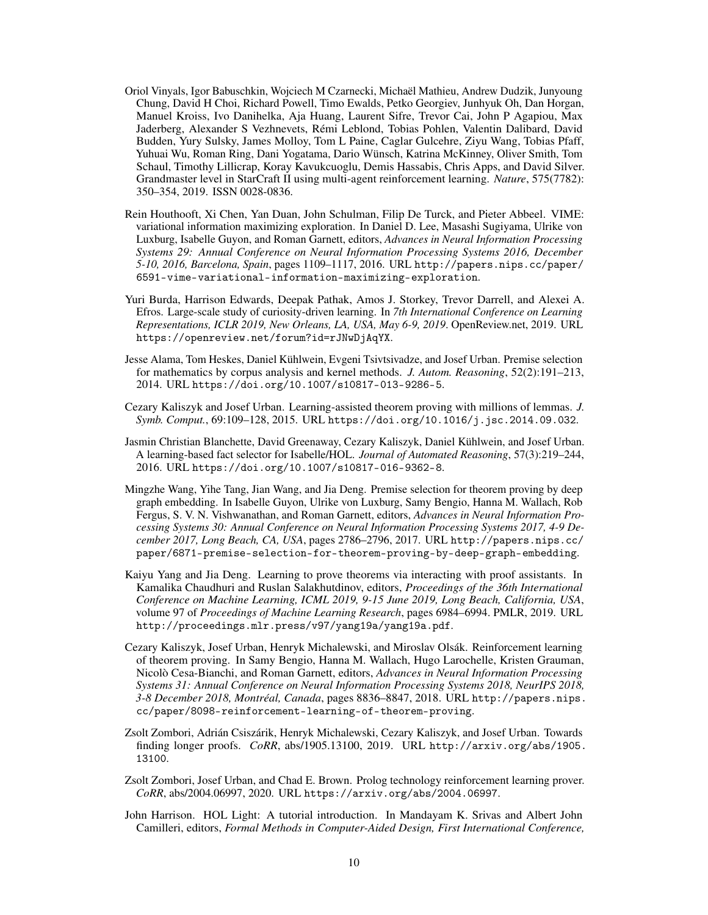- <span id="page-9-0"></span>Oriol Vinyals, Igor Babuschkin, Wojciech M Czarnecki, Michaël Mathieu, Andrew Dudzik, Junyoung Chung, David H Choi, Richard Powell, Timo Ewalds, Petko Georgiev, Junhyuk Oh, Dan Horgan, Manuel Kroiss, Ivo Danihelka, Aja Huang, Laurent Sifre, Trevor Cai, John P Agapiou, Max Jaderberg, Alexander S Vezhnevets, Rémi Leblond, Tobias Pohlen, Valentin Dalibard, David Budden, Yury Sulsky, James Molloy, Tom L Paine, Caglar Gulcehre, Ziyu Wang, Tobias Pfaff, Yuhuai Wu, Roman Ring, Dani Yogatama, Dario Wünsch, Katrina McKinney, Oliver Smith, Tom Schaul, Timothy Lillicrap, Koray Kavukcuoglu, Demis Hassabis, Chris Apps, and David Silver. Grandmaster level in StarCraft II using multi-agent reinforcement learning. *Nature*, 575(7782): 350–354, 2019. ISSN 0028-0836.
- <span id="page-9-1"></span>Rein Houthooft, Xi Chen, Yan Duan, John Schulman, Filip De Turck, and Pieter Abbeel. VIME: variational information maximizing exploration. In Daniel D. Lee, Masashi Sugiyama, Ulrike von Luxburg, Isabelle Guyon, and Roman Garnett, editors, *Advances in Neural Information Processing Systems 29: Annual Conference on Neural Information Processing Systems 2016, December 5-10, 2016, Barcelona, Spain*, pages 1109–1117, 2016. URL [http://papers.nips.cc/paper/](http://papers.nips.cc/paper/6591-vime-variational-information-maximizing-exploration) [6591-vime-variational-information-maximizing-exploration](http://papers.nips.cc/paper/6591-vime-variational-information-maximizing-exploration).
- <span id="page-9-2"></span>Yuri Burda, Harrison Edwards, Deepak Pathak, Amos J. Storkey, Trevor Darrell, and Alexei A. Efros. Large-scale study of curiosity-driven learning. In *7th International Conference on Learning Representations, ICLR 2019, New Orleans, LA, USA, May 6-9, 2019*. OpenReview.net, 2019. URL <https://openreview.net/forum?id=rJNwDjAqYX>.
- <span id="page-9-3"></span>Jesse Alama, Tom Heskes, Daniel Kühlwein, Evgeni Tsivtsivadze, and Josef Urban. Premise selection for mathematics by corpus analysis and kernel methods. *J. Autom. Reasoning*, 52(2):191–213, 2014. URL <https://doi.org/10.1007/s10817-013-9286-5>.
- <span id="page-9-4"></span>Cezary Kaliszyk and Josef Urban. Learning-assisted theorem proving with millions of lemmas. *J. Symb. Comput.*, 69:109–128, 2015. URL <https://doi.org/10.1016/j.jsc.2014.09.032>.
- <span id="page-9-5"></span>Jasmin Christian Blanchette, David Greenaway, Cezary Kaliszyk, Daniel Kühlwein, and Josef Urban. A learning-based fact selector for Isabelle/HOL. *Journal of Automated Reasoning*, 57(3):219–244, 2016. URL <https://doi.org/10.1007/s10817-016-9362-8>.
- <span id="page-9-6"></span>Mingzhe Wang, Yihe Tang, Jian Wang, and Jia Deng. Premise selection for theorem proving by deep graph embedding. In Isabelle Guyon, Ulrike von Luxburg, Samy Bengio, Hanna M. Wallach, Rob Fergus, S. V. N. Vishwanathan, and Roman Garnett, editors, *Advances in Neural Information Processing Systems 30: Annual Conference on Neural Information Processing Systems 2017, 4-9 December 2017, Long Beach, CA, USA*, pages 2786–2796, 2017. URL [http://papers.nips.cc/](http://papers.nips.cc/paper/6871-premise-selection-for-theorem-proving-by-deep-graph-embedding) [paper/6871-premise-selection-for-theorem-proving-by-deep-graph-embedding](http://papers.nips.cc/paper/6871-premise-selection-for-theorem-proving-by-deep-graph-embedding).
- <span id="page-9-7"></span>Kaiyu Yang and Jia Deng. Learning to prove theorems via interacting with proof assistants. In Kamalika Chaudhuri and Ruslan Salakhutdinov, editors, *Proceedings of the 36th International Conference on Machine Learning, ICML 2019, 9-15 June 2019, Long Beach, California, USA*, volume 97 of *Proceedings of Machine Learning Research*, pages 6984–6994. PMLR, 2019. URL <http://proceedings.mlr.press/v97/yang19a/yang19a.pdf>.
- <span id="page-9-8"></span>Cezary Kaliszyk, Josef Urban, Henryk Michalewski, and Miroslav Olsák. Reinforcement learning of theorem proving. In Samy Bengio, Hanna M. Wallach, Hugo Larochelle, Kristen Grauman, Nicolò Cesa-Bianchi, and Roman Garnett, editors, *Advances in Neural Information Processing Systems 31: Annual Conference on Neural Information Processing Systems 2018, NeurIPS 2018, 3-8 December 2018, Montréal, Canada*, pages 8836–8847, 2018. URL [http://papers.nips.](http://papers.nips.cc/paper/8098-reinforcement-learning-of-theorem-proving) [cc/paper/8098-reinforcement-learning-of-theorem-proving](http://papers.nips.cc/paper/8098-reinforcement-learning-of-theorem-proving).
- <span id="page-9-9"></span>Zsolt Zombori, Adrián Csiszárik, Henryk Michalewski, Cezary Kaliszyk, and Josef Urban. Towards finding longer proofs. *CoRR*, abs/1905.13100, 2019. URL [http://arxiv.org/abs/1905.](http://arxiv.org/abs/1905.13100) [13100](http://arxiv.org/abs/1905.13100).
- <span id="page-9-10"></span>Zsolt Zombori, Josef Urban, and Chad E. Brown. Prolog technology reinforcement learning prover. *CoRR*, abs/2004.06997, 2020. URL <https://arxiv.org/abs/2004.06997>.
- <span id="page-9-11"></span>John Harrison. HOL Light: A tutorial introduction. In Mandayam K. Srivas and Albert John Camilleri, editors, *Formal Methods in Computer-Aided Design, First International Conference,*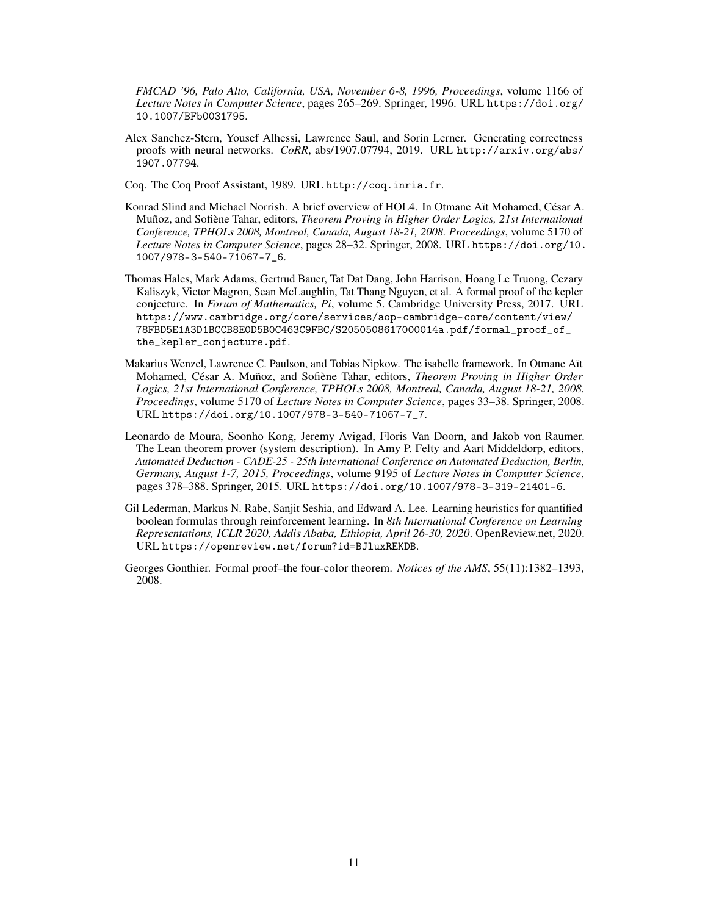*FMCAD '96, Palo Alto, California, USA, November 6-8, 1996, Proceedings*, volume 1166 of *Lecture Notes in Computer Science*, pages 265–269. Springer, 1996. URL [https://doi.org/](https://doi.org/10.1007/BFb0031795) [10.1007/BFb0031795](https://doi.org/10.1007/BFb0031795).

- <span id="page-10-0"></span>Alex Sanchez-Stern, Yousef Alhessi, Lawrence Saul, and Sorin Lerner. Generating correctness proofs with neural networks. *CoRR*, abs/1907.07794, 2019. URL [http://arxiv.org/abs/](http://arxiv.org/abs/1907.07794) [1907.07794](http://arxiv.org/abs/1907.07794).
- <span id="page-10-1"></span>Coq. The Coq Proof Assistant, 1989. URL <http://coq.inria.fr>.
- <span id="page-10-2"></span>Konrad Slind and Michael Norrish. A brief overview of HOL4. In Otmane Aït Mohamed, César A. Muñoz, and Sofiène Tahar, editors, *Theorem Proving in Higher Order Logics, 21st International Conference, TPHOLs 2008, Montreal, Canada, August 18-21, 2008. Proceedings*, volume 5170 of *Lecture Notes in Computer Science*, pages 28–32. Springer, 2008. URL [https://doi.org/10.](https://doi.org/10.1007/978-3-540-71067-7_6) [1007/978-3-540-71067-7\\_6](https://doi.org/10.1007/978-3-540-71067-7_6).
- <span id="page-10-3"></span>Thomas Hales, Mark Adams, Gertrud Bauer, Tat Dat Dang, John Harrison, Hoang Le Truong, Cezary Kaliszyk, Victor Magron, Sean McLaughlin, Tat Thang Nguyen, et al. A formal proof of the kepler conjecture. In *Forum of Mathematics, Pi*, volume 5. Cambridge University Press, 2017. URL [https://www.cambridge.org/core/services/aop-cambridge-core/content/view/](https://www.cambridge.org/core/services/aop-cambridge-core/content/view/78FBD5E1A3D1BCCB8E0D5B0C463C9FBC/S2050508617000014a.pdf/formal_proof_of_the_kepler_conjecture.pdf) [78FBD5E1A3D1BCCB8E0D5B0C463C9FBC/S2050508617000014a.pdf/formal\\_proof\\_of\\_](https://www.cambridge.org/core/services/aop-cambridge-core/content/view/78FBD5E1A3D1BCCB8E0D5B0C463C9FBC/S2050508617000014a.pdf/formal_proof_of_the_kepler_conjecture.pdf) [the\\_kepler\\_conjecture.pdf](https://www.cambridge.org/core/services/aop-cambridge-core/content/view/78FBD5E1A3D1BCCB8E0D5B0C463C9FBC/S2050508617000014a.pdf/formal_proof_of_the_kepler_conjecture.pdf).
- <span id="page-10-4"></span>Makarius Wenzel, Lawrence C. Paulson, and Tobias Nipkow. The isabelle framework. In Otmane Aït Mohamed, César A. Muñoz, and Sofiène Tahar, editors, *Theorem Proving in Higher Order Logics, 21st International Conference, TPHOLs 2008, Montreal, Canada, August 18-21, 2008. Proceedings*, volume 5170 of *Lecture Notes in Computer Science*, pages 33–38. Springer, 2008. URL [https://doi.org/10.1007/978-3-540-71067-7\\_7](https://doi.org/10.1007/978-3-540-71067-7_7).
- <span id="page-10-5"></span>Leonardo de Moura, Soonho Kong, Jeremy Avigad, Floris Van Doorn, and Jakob von Raumer. The Lean theorem prover (system description). In Amy P. Felty and Aart Middeldorp, editors, *Automated Deduction - CADE-25 - 25th International Conference on Automated Deduction, Berlin, Germany, August 1-7, 2015, Proceedings*, volume 9195 of *Lecture Notes in Computer Science*, pages 378–388. Springer, 2015. URL <https://doi.org/10.1007/978-3-319-21401-6>.
- <span id="page-10-6"></span>Gil Lederman, Markus N. Rabe, Sanjit Seshia, and Edward A. Lee. Learning heuristics for quantified boolean formulas through reinforcement learning. In *8th International Conference on Learning Representations, ICLR 2020, Addis Ababa, Ethiopia, April 26-30, 2020*. OpenReview.net, 2020. URL <https://openreview.net/forum?id=BJluxREKDB>.
- <span id="page-10-7"></span>Georges Gonthier. Formal proof–the four-color theorem. *Notices of the AMS*, 55(11):1382–1393, 2008.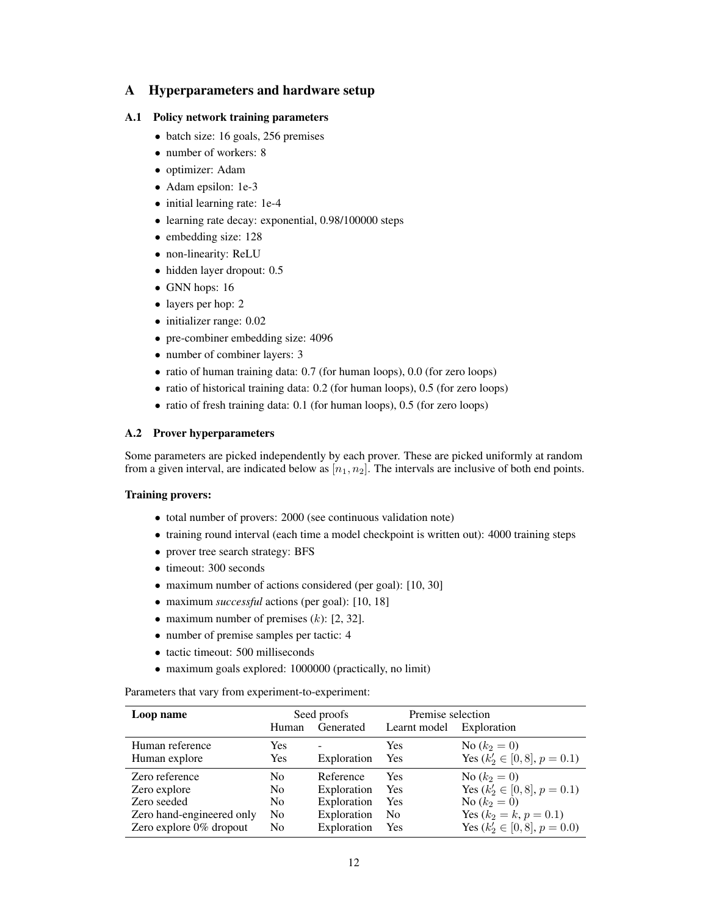# A Hyperparameters and hardware setup

### A.1 Policy network training parameters

- batch size: 16 goals, 256 premises
- number of workers: 8
- optimizer: Adam
- Adam epsilon: 1e-3
- initial learning rate: 1e-4
- learning rate decay: exponential, 0.98/100000 steps
- embedding size: 128
- non-linearity: ReLU
- hidden layer dropout: 0.5
- GNN hops: 16
- layers per hop: 2
- initializer range: 0.02
- pre-combiner embedding size: 4096
- number of combiner layers: 3
- ratio of human training data: 0.7 (for human loops), 0.0 (for zero loops)
- ratio of historical training data: 0.2 (for human loops), 0.5 (for zero loops)
- ratio of fresh training data: 0.1 (for human loops), 0.5 (for zero loops)

### A.2 Prover hyperparameters

Some parameters are picked independently by each prover. These are picked uniformly at random from a given interval, are indicated below as  $[n_1, n_2]$ . The intervals are inclusive of both end points.

### Training provers:

- total number of provers: 2000 (see continuous validation note)
- training round interval (each time a model checkpoint is written out): 4000 training steps
- prover tree search strategy: BFS
- timeout: 300 seconds
- maximum number of actions considered (per goal): [10, 30]
- maximum *successful* actions (per goal): [10, 18]
- maximum number of premises  $(k)$ : [2, 32].
- number of premise samples per tactic: 4
- tactic timeout: 500 milliseconds
- maximum goals explored: 1000000 (practically, no limit)

Parameters that vary from experiment-to-experiment:

| Loop name                 | Seed proofs    |             | Premise selection |                                  |
|---------------------------|----------------|-------------|-------------------|----------------------------------|
|                           | Human          | Generated   | Learnt model      | Exploration                      |
| Human reference           | Yes            |             | Yes               | No $(k_2 = 0)$                   |
| Human explore             | <b>Yes</b>     | Exploration | Yes               | Yes $(k'_2 \in [0, 8], p = 0.1)$ |
| Zero reference            | N <sub>0</sub> | Reference   | <b>Yes</b>        | No $(k_2 = 0)$                   |
| Zero explore              | N <sub>0</sub> | Exploration | <b>Yes</b>        | Yes $(k'_2 \in [0, 8], p = 0.1)$ |
| Zero seeded               | N <sub>0</sub> | Exploration | Yes               | No $(k_2 = 0)$                   |
| Zero hand-engineered only | N <sub>0</sub> | Exploration | N <sub>o</sub>    | Yes $(k_2 = k, p = 0.1)$         |
| Zero explore 0% dropout   | N <sub>0</sub> | Exploration | Yes               | Yes $(k'_2 \in [0,8], p = 0.0)$  |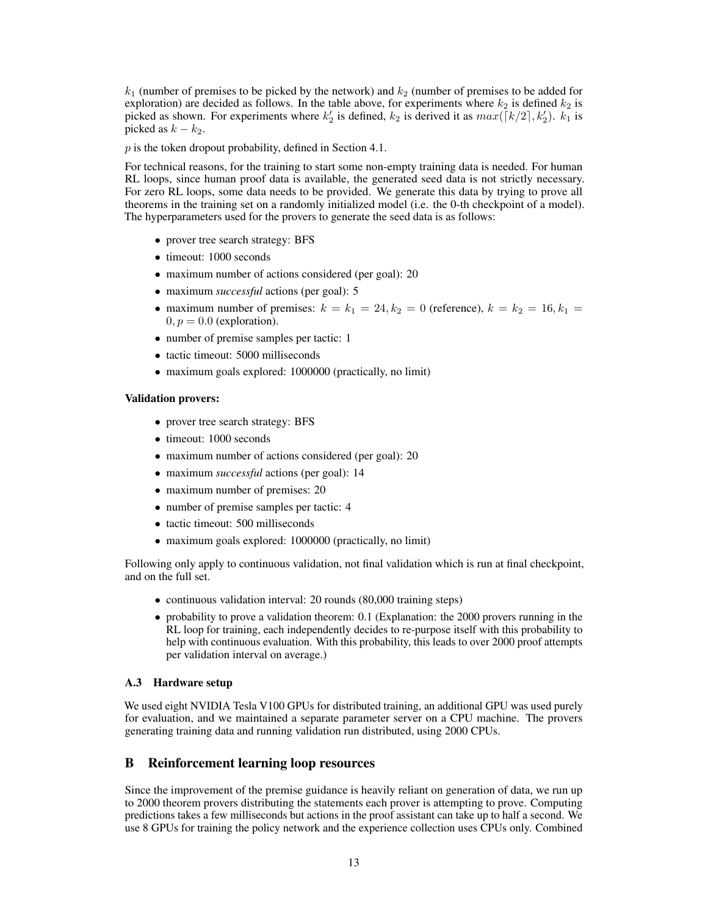$k_1$  (number of premises to be picked by the network) and  $k_2$  (number of premises to be added for exploration) are decided as follows. In the table above, for experiments where  $k_2$  is defined  $k_2$  is picked as shown. For experiments where  $k'_2$  is defined,  $k_2$  is derived it as  $max([k/2], k'_2)$ .  $k_1$  is picked as  $k - k_2$ .

 $p$  is the token dropout probability, defined in Section [4.1.](#page-3-1)

For technical reasons, for the training to start some non-empty training data is needed. For human RL loops, since human proof data is available, the generated seed data is not strictly necessary. For zero RL loops, some data needs to be provided. We generate this data by trying to prove all theorems in the training set on a randomly initialized model (i.e. the 0-th checkpoint of a model). The hyperparameters used for the provers to generate the seed data is as follows:

- prover tree search strategy: BFS
- timeout: 1000 seconds
- maximum number of actions considered (per goal): 20
- maximum *successful* actions (per goal): 5
- maximum number of premises:  $k = k_1 = 24, k_2 = 0$  (reference),  $k = k_2 = 16, k_1 = 16$  $0, p = 0.0$  (exploration).
- number of premise samples per tactic: 1
- tactic timeout: 5000 milliseconds
- maximum goals explored: 1000000 (practically, no limit)

#### Validation provers:

- prover tree search strategy: BFS
- timeout: 1000 seconds
- maximum number of actions considered (per goal): 20
- maximum *successful* actions (per goal): 14
- maximum number of premises: 20
- number of premise samples per tactic: 4
- tactic timeout: 500 milliseconds
- maximum goals explored: 1000000 (practically, no limit)

Following only apply to continuous validation, not final validation which is run at final checkpoint, and on the full set.

- continuous validation interval: 20 rounds (80,000 training steps)
- probability to prove a validation theorem: 0.1 (Explanation: the 2000 provers running in the RL loop for training, each independently decides to re-purpose itself with this probability to help with continuous evaluation. With this probability, this leads to over 2000 proof attempts per validation interval on average.)

#### A.3 Hardware setup

We used eight NVIDIA Tesla V100 GPUs for distributed training, an additional GPU was used purely for evaluation, and we maintained a separate parameter server on a CPU machine. The provers generating training data and running validation run distributed, using 2000 CPUs.

### <span id="page-12-0"></span>B Reinforcement learning loop resources

Since the improvement of the premise guidance is heavily reliant on generation of data, we run up to 2000 theorem provers distributing the statements each prover is attempting to prove. Computing predictions takes a few milliseconds but actions in the proof assistant can take up to half a second. We use 8 GPUs for training the policy network and the experience collection uses CPUs only. Combined